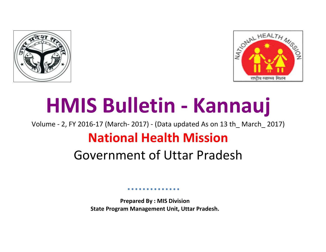



# **HMIS Bulletin - Kannauj**

Volume - 2, FY 2016-17 (March- 2017) - (Data updated As on 13 th\_ March\_ 2017)

# **National Health Mission**

# Government of Uttar Pradesh

**Prepared By : MIS Division State Program Management Unit, Uttar Pradesh.**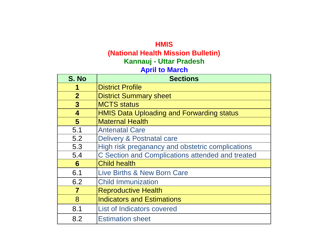# **HMIS (National Health Mission Bulletin) April to March Kannauj - Uttar Pradesh**

| S. No                   | <b>Sections</b>                                  |
|-------------------------|--------------------------------------------------|
| 1                       | <b>District Profile</b>                          |
| $\overline{2}$          | <b>District Summary sheet</b>                    |
| $\mathbf{3}$            | <b>MCTS status</b>                               |
| $\overline{\mathbf{4}}$ | <b>HMIS Data Uploading and Forwarding status</b> |
| 5                       | <b>Maternal Health</b>                           |
| 5.1                     | <b>Antenatal Care</b>                            |
| 5.2                     | Delivery & Postnatal care                        |
| 5.3                     | High risk preganancy and obstetric complications |
| 5.4                     | C Section and Complications attended and treated |
| 6                       | <b>Child health</b>                              |
| 6.1                     | Live Births & New Born Care                      |
| 6.2                     | <b>Child Immunization</b>                        |
| $\overline{\mathbf{7}}$ | <b>Reproductive Health</b>                       |
| 8                       | <b>Indicators and Estimations</b>                |
| 8.1                     | List of Indicators covered                       |
| 8.2                     | <b>Estimation sheet</b>                          |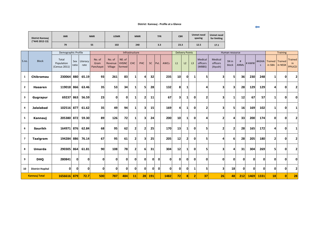#### **District Kannauj - Profile at a Glance**

| District Kannauj<br>(*AHS 2012-13) | <b>IMR</b> | <b>NMR</b> | U5MR | <b>MMR</b> | <b>TFR</b> | <b>CBR</b> | <b>Unmet need</b><br>spacing | Unmet need<br>for limiting |
|------------------------------------|------------|------------|------|------------|------------|------------|------------------------------|----------------------------|
|                                    | 79         | 55         | 102  | 240        | 3.3        | 23.3       | 12.5                         | 17.1                       |

|                |                         | Demographic Profile                  |              |                  |                             |                              |                                  | Infrastructure |                         |           |          |              |                         | <b>Delivery Points</b> |    |                               |                                | Human resource |                  |          |                       |                           | <b>Training</b> |                                       |
|----------------|-------------------------|--------------------------------------|--------------|------------------|-----------------------------|------------------------------|----------------------------------|----------------|-------------------------|-----------|----------|--------------|-------------------------|------------------------|----|-------------------------------|--------------------------------|----------------|------------------|----------|-----------------------|---------------------------|-----------------|---------------------------------------|
| S.no.          | <b>Block</b>            | Total<br>Population<br>(Census 2011) | Sex<br>ratio | Literacy<br>rate | No. of<br>Gram<br>Panchayat | No. of<br>Revenue<br>Village | NO. of<br><b>VHSNC</b><br>formed | <b>CHC</b>     | <b>PHC</b>              | <b>SC</b> | Pvt.     | AWCs         | L1                      | L2                     | L3 | Medical<br>officers<br>(MBBS) | Medical<br>officers<br>(Ayush) | SN in<br>block | #<br><b>ANMs</b> | # AWW    | #ASHA<br>$\mathsf{S}$ | Trained Trained<br>in SBA | in NSSK         | <b>Trained</b><br>in<br><b>PPIUCD</b> |
| 1              | Chibramau               | 230064                               | 880          | 65.19            | 93                          | 261                          | 83                               | 1              | Δ                       | 32        |          | 235          | 10                      | $\mathbf{0}$           | 1  | 5                             | з                              | 5              | 36               | 230      | 248                   |                           | 0               | 2                                     |
| $\mathbf{2}$   | <b>Hasaren</b>          | 119018 866                           |              | 63.46            | 35                          | 53                           | 34                               | 1              | 5                       | 28        |          | 132          | 8                       | 1                      |    | Δ                             | 3                              | 3              | 28               | 129      | 129                   | Δ                         | 0               | 2                                     |
| 3              | Gugrapur                | 69237 863                            |              | 56.59            | 23                          | 0                            | $\mathbf{0}$                     | 1              | $\overline{2}$          | 11        |          | 67           | $\overline{\mathbf{3}}$ | 1                      | 0  | $\overline{2}$                | 3                              | 1              | 12               | 67       | 57                    |                           | $\Omega$        | 0                                     |
| 4              | <b>Jalalabad</b>        | 102516 877                           |              | 61.62            | 35                          | 49                           | 94                               | 1              | $\overline{\mathbf{3}}$ | 15        |          | 169          | 4                       | 1                      | 0  | $\overline{2}$                | 3                              | 5              | 16               | 169      | 102                   | -1                        | 0               |                                       |
| 5              | Kannauj                 | 205380 872                           |              | 59.30            | 89                          | 126                          | 72                               | 1              | 3                       | 24        |          | 200          | 10                      | 1                      | 0  | Δ                             | 2                              | Δ              | 33               | 200      | 174                   | 0                         | 0               |                                       |
| 6              | Saurikh                 | 164971                               | 876          | 62.84            | 68                          | 95                           | 62                               | 2              | $\overline{\mathbf{2}}$ | 25        |          | 170          | 13                      | 1                      | 0  | 5                             | $\overline{\mathbf{z}}$        | $\mathbf{2}$   | 28               | 165      | 172                   | Δ                         | 0               |                                       |
| $\overline{7}$ | Taalgram                | 194284                               | 886          | 76.14            | 67                          | 95                           | 61                               | 2              | 3                       | 25        |          | 205          | 12                      | 2                      | 0  | 5                             | Δ                              | 6              | 28               | 205      | 180                   | 2                         | 0               | 2                                     |
| 8              | <b>Umarda</b>           | 290305                               | 864          | 61.81            | 90                          | 108                          | 78                               | 2              | 6                       | 31        |          | 304          | 12                      | 1                      | 0  | 5                             | 3                              | Δ              | 31               | 304      | 269                   | 5                         | 0               |                                       |
| 9              | <b>DHQ</b>              | 280841                               | 0            | O                | 0                           | ŋ                            | 0                                | 0              | 0                       | 0         | n        | O            | $\mathbf{0}$            | $\mathbf{0}$           | 0  | 0                             | $\mathbf{0}$                   | 0              | $\Omega$         | ŋ        | 0                     | 0                         | ŋ               | 0                                     |
| 10             | <b>District Hopital</b> | $\mathbf{0}$                         | 0            | 0                | $\Omega$                    | $\Omega$                     | $\mathbf{0}$                     | $\Omega$       | $\mathbf{0}$            | $\Omega$  | $\Omega$ | $\mathbf{0}$ | 0                       | $\Omega$               | 1  | 5                             | $\overline{\mathbf{3}}$        | 18             | $\Omega$         | $\Omega$ | $\Omega$              | $\Omega$                  | $\Omega$        | 2                                     |
|                | <b>Kannauj Total</b>    | 1656616 879                          |              | 72.7             | 500                         | 787                          | 484                              | 11             | 28                      | 191       |          | 1482         | 72                      | 8                      | 2  | 37                            | 26                             | 48             | 212              | 1469     | 1331                  | 18                        |                 | 28                                    |

 $\leftarrow$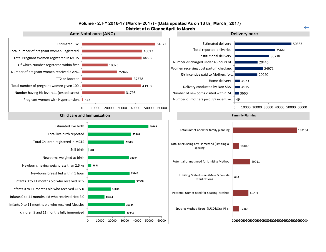### **District at a GlanceApril to March Volume - 2, FY 2016-17 (March- 2017) - (Data updated As on 13 th\_ March\_ 2017)**

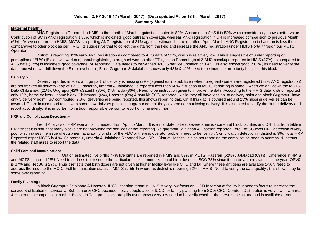

#### **Maternal health :**

ANC Registration Reported in HMIS in the month of March. against estimated is 82%. According to AHS it is 52% which considerably shows better value. Contribution of SC in ANC registration is 87% which is indicated good outreach coverage, whereas ANC registration in DH is increased comparision to previous Month (6%). As we compared to HMIS, MCTS is reporting ANC registration of 81% against estimated in the month of April- March. ANC Registration in haseran is less then comparative to other block as per HMIS Its suggestive that to collect the data from the field and increase the ANC registration under HMIS Portal through our MCTS Operator .

District is reporting 42% early ANC registration as compared to AHS data of 52%, which is relatively low. This is suggestive of under reporting or perception of FLWs (Field level worker's) about registering a pregnant women after TT injection.Percentage of 3 ANC checkups reported in HMIS (47%) as compared to AHS data (27%) is indicated good coverage of reporting. Data needs to be verified. MCTS service updation of 3 ANC is also shows good (58 % ) its need to verify the data , but when we drill down the Block level data , Block Gugrapur & Jalalabad shows only 43% & 41% need to be increase on priority basis on this block.

#### **Delivery :-**

Delivery reported is 70%, a huge part of delivery is missing (29 %)against estimated. Even when pregnant women are registered (82% ANC registration) are not tracked till delivery (gap of 12%), haseran, umarda & Jalalabad is reported less then 60%. Situation in MCTS reporting is same ., when we drill down the MCTS Data Chibramau (21%), Gugrapur(42% ),Saurikh (30%) & Umarda (36%), Need to be instruction given to improve the data. According to the HMIS data district reported only 10%, home delivery . some block Chibramau (6%), Haseran (8%) & saurikh (8%), reported . while they all have less no. of delivery point and block Gugrapur have only 3 delivery point , SC contributed 9.8% deliveries are being reported, this shows reporting gap. Or If this gap is covered around 25% missing deliveries can be covered. There is also need to activate some new delivery point's in gugrapur so that they covered some missing delivery. It is also need to verify the Home delivery and report accordingly. it is important to instruct responsible person to report on time every month.

#### **HRP** and **Complication** Detection :-

Trend Analysis of HRP woman is increased from April to March. It is a mandate to treat severe anemic women at block facilities and DH , but from table in HRP sheet it is find that many blocks are not providing the services or not reporting like gugrapur, jalalabad & Haseran reported Zero. At SC level HRP detection is very poor which raises the issue of equipment availability or skill of the FLW or there is operator problem need to be verify . Complication detection in district is 3%, Total HRP Reported asper MCTS is 4.%, Chibramau , umarda & Jalalabad Reported low HRP . District Hospital is also not reporting the complication need to address. & instruct the related staff nurse to report the data.

#### **Child Care and Immunization:-**

Out of estimated live births 77% live births are reported in HMIS and 59% in MCTS. Haseran (52%) , Jalalabad (69%), Difference in HMIS and MCTS is around 18%.Need to address this issue to the particular blocks. Immunization of birth dose i.e. BCG 78% since it can be administrated till one year, OPV0 is 37% and HepB0 is 27%. Thus it reflects that birth doses are not given at higher facility level like CHC and DH where these antigens are available 24X7. Need to address the issue to the MOIC. Full Immunization status in MCTS is 55 % where as district is reporting 62% in HMIS. Need to verify the data quality , this shows may be some over reporting.

#### **Family Planning :-**

In block Gugrapur, Jalalabad & Haseran IUCD insertion report in HMIS is very low focus on IUCD Insertion at facility.but need to focus to increase the service & utilization of service at Sub center & CHC because mostly couple accept IUCD for family planning from SC & CHC. Condom Distribution is very low in Umarda & Haseran as comperision to other Block . In Talegram block oral pills user shows very low need to be verify whether the these spacing method is availiabe or not.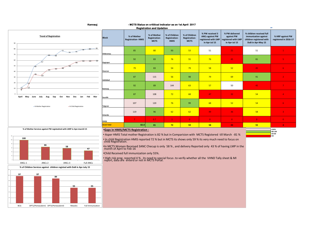







• In child Registration HMIS reported 72 % but in MCTS its shows only 59 % its very much need to focus on child Registration.

•In MCTS Women Received 3ANC Checup is only 58 % , and delivery Reported only 43 % of having LMP in the month of April to Feb-16

•Child Received full immunization only 55%.

• High risk preg. reported 4 % . its need to special focus .to verify whether all the VHND Tally sheet & MI report, data are enterd or not in MCTS Portal.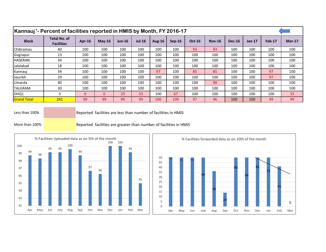| Kannauj '- Percent of facilities reported in HMIS by Month, FY 2016-17 |                                          |          |          |          |               |               |          |               |               |               |          |        |               |
|------------------------------------------------------------------------|------------------------------------------|----------|----------|----------|---------------|---------------|----------|---------------|---------------|---------------|----------|--------|---------------|
| <b>Block</b>                                                           | <b>Total No. of</b><br><b>Facilities</b> | Apr-16   | $May-16$ | $Jun-16$ | <b>Jul-16</b> | <b>Aug-16</b> | $Sep-16$ | <b>Oct-16</b> | <b>Nov-16</b> | <b>Dec-16</b> | $Jan-17$ | Feb-17 | <b>Mar-17</b> |
| Chibramau                                                              | 40                                       | 100      | 100      | 100      | 100           | 100           | 100      | 93            | 93            | 100           | 100      | 100    | 100           |
| Gugrapur                                                               | 13                                       | 100      | 100      | 100      | 100           | 100           | 100      | 100           | 100           | 100           | 100      | 100    | 100           |
| <b>HASERAN</b>                                                         | 34                                       | 100      | 100      | 100      | 100           | 100           | 100      | 100           | 100           | 100           | 100      | 100    | 100           |
| Jalalabad                                                              | 18                                       | 100      | 100      | 100      | 100           | 100           | 100      | 100           | 100           | 100           | 100      | 100    | 100           |
| Kannauj                                                                | 34                                       | 100      | 100      | 100      | 100           | 97            | 100      | 85            | 85            | 100           | 100      | 97     | 100           |
| Saurikh                                                                | 29                                       | 100      | 100      | 100      | 100           | 100           | 100      | 100           | 100           | 100           | 100      | 97     | 100           |
| Umarda                                                                 | 40                                       | 100      | 100      | 100      | 100           | 100           | 100      | 100           | 98            | 100           | 100      | 100    | 100           |
| <b>TALGRAM</b>                                                         | 30                                       | 100      | 100      | 100      | 100           | 100           | 100      | 100           | 100           | 100           | 100      | 100    | 100           |
| DHQ1                                                                   | 3.                                       | $\Omega$ | $\Omega$ | 33       | 33            | 100           | 67       | 100           | 100           | 100           | 100      | 100    | 33            |
| <b>Grand Total</b>                                                     | 241                                      | 99       | 99       | 99       | 99            | 100           | 100      | 97            | 96            | 100           | 100      | 99     | 99            |

Less than 100% Reported facilities are less than number of facilities in HMIS

More than 100% **Reported facilities are greater than number of facilities in HMIS** 



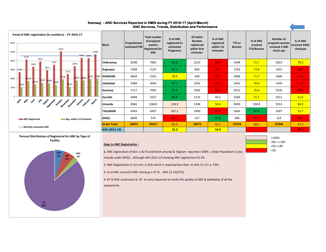| 6000<br>5000  | Trend of ANC registration (in numbers) - - FY-2016-17<br>4152        | 5063<br>4732<br>$-4345 - 4299$                     | <b>Block</b>       | Propotionate<br>estimated PW | <b>Total number</b><br>of pregnant<br>women<br><b>Registered for</b><br><b>ANC</b> | % of ANC<br>registered to<br>estimated<br>Pregnancy | Of which<br><b>Number</b><br>registered<br>within first<br>trimester | % of ANC<br>registered<br>within 1st<br>trimester | TT2 or<br><b>Booster</b> | % of ANC<br>received<br>TT2/Booster | <b>Number of</b><br>pregnant women<br>received 3 ANC<br>check ups | % of ANC<br>received 3ANC<br>checkups |
|---------------|----------------------------------------------------------------------|----------------------------------------------------|--------------------|------------------------------|------------------------------------------------------------------------------------|-----------------------------------------------------|----------------------------------------------------------------------|---------------------------------------------------|--------------------------|-------------------------------------|-------------------------------------------------------------------|---------------------------------------|
| 4000          | 3923<br>3556<br>3344                                                 | 3399                                               | Chibramau          | 8298                         | 7085                                                                               | 85.4                                                | 2533                                                                 | 35.8                                              | 5948                     | 71.7                                | 5823                                                              | 70.2                                  |
| $3000 - 2738$ | 2952                                                                 | 2514                                               | Gugrapur           | 2308                         | 2125                                                                               | 92.1                                                | 844                                                                  | 39.7                                              | 1703                     | 73.8                                | 1031                                                              | 44.7                                  |
| 2000          | 1723                                                                 | 1947 1982<br>1916<br>1815 1809                     | <b>HASERAN</b>     | 4044                         | 3191                                                                               | 78.9                                                | 949                                                                  | 29.7                                              | 2898                     | 71.7                                | 1840                                                              | 45.5                                  |
|               | 1522 1484<br>1353<br>306<br>1037                                     | 1079                                               | Jalalabad          | 3489                         | 3040                                                                               | 87.1                                                | 1042                                                                 | 34.3                                              | 2441                     | 70.0                                | 1439                                                              | 41.2                                  |
| 1000          |                                                                      |                                                    | Kannauj            | 7717                         | 7095                                                                               | 91.9                                                | 2585                                                                 | 36.4                                              | 5912                     | 76.6                                | 3539                                                              | 45.9                                  |
|               | April<br><b>Wre</b><br>$\lambda_{\eta_{\mathcal{H}}}$<br><b>Alay</b> |                                                    | Saurikh            | 4998                         | 4337                                                                               | 86.8                                                | 2135                                                                 | 49.2                                              | 3584                     | 71.7                                | 2551                                                              | 51.0                                  |
|               | <b>August</b><br>September<br>October                                | November<br>December<br><b>January</b><br>February | <b>Umarda</b>      | 8966                         | 10663                                                                              | 118.9                                               | 5398                                                                 | 50.6                                              | 9040                     | 100.8                               | 5913                                                              | 66.0                                  |
|               |                                                                      |                                                    | <b>TALGRAM</b>     | 6443                         | 6907                                                                               | 107.2                                               | 2960                                                                 | 42.9                                              | 5664                     | 87.9                                | 3587                                                              | 55.7                                  |
|               | <b>NORTH ANC Registered</b>                                          | Reg. within 1st trimester                          | DHQ1               | 8609                         | 574                                                                                | 6.7                                                 | 527                                                                  | 91.8                                              | 388                      | 4.5                                 | 223                                                               | 2.6                                   |
|               |                                                                      |                                                    | <b>Grant Total</b> | 54872                        | 45017                                                                              | 82.0                                                | 18973                                                                | 42.1                                              | 37578                    | 68.5                                | 25946                                                             | 47.3                                  |
|               | -Monthly estimated ANC                                               |                                                    | AHS (2012-13)      |                              |                                                                                    | 52.2                                                |                                                                      | 52.9                                              |                          |                                     |                                                                   | 27.1                                  |

#### **ANC Services, Trends, Distribution and Performance Kannauj - ANC Services Reported in HMIS during FY 2016-17 (April-March)**

#### **Percent Distribution of Registered for ANC by Type of Facility**



**1.** ANC registration of dist. is 82 % and block umarda & Talgram reported >100% , Urban Population is also

include under DHQ1, although AHS 2012-13 showing ANC registartion 52.2%

2- ANC Registration in 1st trim. is 42% which is repotred less then to AHS 12-13 i.e. 53%.

3- % of ANC recievd 3 ANC checkup is 47 % . AHS 12-13(27%).

4- 87 % ANC conducted at SC its very important to verify the quality of ANC & Aailibality of all the equipments..



`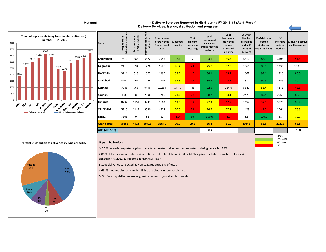#### Kannauj **1986 - Land Company Company Services Reported in HMIS during FY 2016-17 (April-March) Delivery Services, trends, distribution and progress**



| <b>Block</b>       | Estimated deliveries<br>Propotionate | <b>Deliveries</b><br>ቴ<br>umber<br>Home I<br>Total | conducted<br>at facility<br><b>Deliveries</b> | <b>Total number</b><br>of Deliveries<br>(Home+Instit<br>ution) | % delivery<br>reported | $%$ of<br>delivery<br>missed in<br>reporting | $%$ of<br>institutional<br>deliveries<br>among reported<br>delivery | $%$ of<br>institutional<br>deliveries<br>among<br>estimated<br>delivery | Of which<br><b>Number</b><br>discharged<br>under 48<br>hours of<br>delivery | % of delivered<br>women<br>discharged<br>within 48 hours | <b>JSY</b><br>incentive<br>paid to<br><b>Mothers</b> | % of JSY incentive<br>paid to mothers |
|--------------------|--------------------------------------|----------------------------------------------------|-----------------------------------------------|----------------------------------------------------------------|------------------------|----------------------------------------------|---------------------------------------------------------------------|-------------------------------------------------------------------------|-----------------------------------------------------------------------------|----------------------------------------------------------|------------------------------------------------------|---------------------------------------|
| Chibramau          | 7619                                 | 485                                                | 6572                                          | 7057                                                           | 92.6                   | 7                                            | 93.1                                                                | 86.3                                                                    | 5412                                                                        | 82.3                                                     | 3404                                                 | 51.8                                  |
| Gugrapur           | 2119                                 | 394                                                | 1226                                          | 1620                                                           | 76.4                   | 24                                           | 75.7                                                                | 57.9                                                                    | 1066                                                                        | 86.9                                                     | 1230                                                 | 100.3                                 |
| <b>HASERAN</b>     | 3714                                 | 318                                                | 1677                                          | 1995                                                           | 53.7                   | 46                                           | 84.1                                                                | 45.2                                                                    | 1662                                                                        | 99.1                                                     | 1426                                                 | 85.0                                  |
| Jalalabad          | 3204                                 | 261                                                | 1446                                          | 1707                                                           | 53.3                   | 47                                           | 84.7                                                                | 45.1                                                                    | 1314                                                                        | 90.9                                                     | 1159                                                 | 80.2                                  |
| Kannauj            | 7086                                 | 768                                                | 9496                                          | 10264                                                          | 144.9                  | $-45$                                        | 92.5                                                                | 134.0                                                                   | 5549                                                                        | 58.4                                                     | 4141                                                 | 43.6                                  |
| Saurikh            | 4589                                 | 389                                                | 2896                                          | 3285                                                           | 71.6                   | 28                                           | 88.2                                                                | 63.1                                                                    | 2473                                                                        | 85.4                                                     | 2563                                                 | 88.5                                  |
| Umarda             | 8232                                 | 1161                                               | 3943                                          | 5104                                                           | 62.0                   | 38                                           | 77.3                                                                | 47.9                                                                    | 1459                                                                        | 37.0                                                     | 3575                                                 | 90.7                                  |
| <b>TALGRAM</b>     | 5916                                 | 1147                                               | 3380                                          | 4527                                                           | 76.5                   | 23                                           | 74.7                                                                | 57.1                                                                    | 1429                                                                        | 42.3                                                     | 2664                                                 | 78.8                                  |
| <b>DHQ1</b>        | 7905                                 | $\mathbf 0$                                        | 82                                            | 82                                                             | 1.0                    | 99                                           | 100.0                                                               | 1.0                                                                     | 82                                                                          | 100.0                                                    | 58                                                   | 70.7                                  |
| <b>Grand Total</b> | 50383                                | 4923                                               | 30718                                         | 35641                                                          | 70.7                   | 29.3                                         | 86.2                                                                | 61.0                                                                    | 20446                                                                       | 66.6                                                     | 20220                                                | 65.8                                  |
| AHS (2012-13)      |                                      |                                                    |                                               |                                                                |                        |                                              | 58.4                                                                |                                                                         |                                                                             |                                                          |                                                      | 70.8                                  |

>100% >80, <=100 >50 <=80 <50

#### **Percent Distribution of deliveries by type of Facility <b>Gaps in Deliveries** :-



1- 70 % deliveries reported against the total estimated deliveries, rest reported missing deliveries 29%

2-86 % deliveries are reported as institutional out of total deliveries(it is 61 % against the total estimated deliveries) although AHS 2012-13 reported for kannauj is 58%.

3-10 % deliveries conducted at Home. SC reported 9 % of total.

4-66 % mothers discharge under 48 hrs of delivery in kannauj district .

5- % of missing deliveries are heighest in haseran , jalalabad, & Umarda .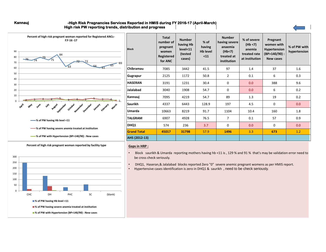#### **Kannauj**

#### **-High Risk Pregnancies Services Reported in HMIS during FY 2016-17 (April-March) High risk PW reporting trends, distribution and progress**



| <b>Block</b>       | <b>Total</b><br>number of<br>pregnant<br>women<br>Registered<br>for ANC | <b>Number</b><br>having Hb<br>level <sub>11</sub><br>(tested<br>cases) | $%$ of<br>having<br><b>Hb level</b><br>$11$ | <b>Number</b><br>having severe<br>anaemia<br>(Hb<7)<br>treated at<br>institution | % of severe<br>(Hb < 7)<br>anemia<br>treated rate<br>at institution | Pregnant<br>women with<br><b>Hypertension</b><br>$(BP>140/90)$ :<br><b>New cases</b> | % of PW with<br>hypertension |
|--------------------|-------------------------------------------------------------------------|------------------------------------------------------------------------|---------------------------------------------|----------------------------------------------------------------------------------|---------------------------------------------------------------------|--------------------------------------------------------------------------------------|------------------------------|
| Chibramau          | 7085                                                                    | 3442                                                                   | 41.5                                        | 97                                                                               | 1.4                                                                 | 37                                                                                   | 1.6                          |
| Gugrapur           | 2125                                                                    | 1172                                                                   | 50.8                                        | $\overline{2}$                                                                   | 0.1                                                                 | 6                                                                                    | 0.3                          |
| <b>HASERAN</b>     | 3191                                                                    | 1231                                                                   | 30.4                                        | 0                                                                                | 0.0                                                                 | 388                                                                                  | 9.6                          |
| Jalalabad          | 3040                                                                    | 1908                                                                   | 54.7                                        | $\Omega$                                                                         | 0.0                                                                 | 6                                                                                    | 0.2                          |
| Kannauj            | 7095                                                                    | 4219                                                                   | 54.7                                        | 89                                                                               | 1.3                                                                 | 19                                                                                   | 0.2                          |
| <b>Saurikh</b>     | 4337                                                                    | 6443                                                                   | 128.9                                       | 197                                                                              | 4.5                                                                 | 0                                                                                    | 0.0                          |
| <b>Umarda</b>      | 10663                                                                   | 8219                                                                   | 91.7                                        | 1104                                                                             | 10.4                                                                | 160                                                                                  | 1.8                          |
| <b>TALGRAM</b>     | 6907                                                                    | 4928                                                                   | 76.5                                        | $\overline{7}$                                                                   | 0.1                                                                 | 57                                                                                   | 0.9                          |
| DHQ1               | 574                                                                     | 236                                                                    | 3.7                                         | $\mathbf 0$                                                                      | 0.0                                                                 | 0                                                                                    | 0.0                          |
| <b>Grand Total</b> | 45017                                                                   | 31798                                                                  | 57.9                                        | 1496                                                                             | 3.3                                                                 | 673                                                                                  | 1.2                          |
| AHS (2012-13)      |                                                                         |                                                                        |                                             |                                                                                  |                                                                     |                                                                                      |                              |

#### **Gaps in HRP :**

• Block saurikh & Umarda reporting mothers having hb <11 is , 129 % and 91 % that's may be validation error need to be cross check seriously.

• DHQ1, Haseran,& Jalalabad blocks reported Zero "0" severe anemic pregnant womens as per HMIS report. • Hypertensive cases identification is zero in DHQ1 & saurikh , need to be check seriously.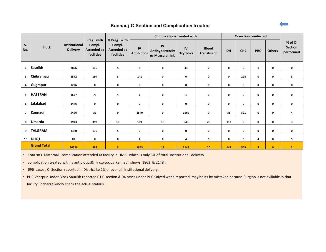## **Kannauj C-Section and Complication treated**



|                |                    |                                         |                                                          |                                                            |                          | <b>Complications Treated with</b>         |                        | C- section conducted               |           |             |              |               |                                        |
|----------------|--------------------|-----------------------------------------|----------------------------------------------------------|------------------------------------------------------------|--------------------------|-------------------------------------------|------------------------|------------------------------------|-----------|-------------|--------------|---------------|----------------------------------------|
| S.<br>No.      | <b>Block</b>       | <b>Institutional</b><br><b>Delivery</b> | Preg. with<br>Compl.<br><b>Attended at</b><br>facilities | % Preg. with<br>Compl.<br><b>Attended at</b><br>facilities | IV<br><b>Antibiotics</b> | IV<br>Antihypertensiv<br>e/ Magsulph Inj. | IV<br><b>Oxytocics</b> | <b>Blood</b><br><b>Transfusion</b> | <b>DH</b> | <b>CHC</b>  | <b>PHC</b>   | <b>Others</b> | % of C-<br><b>Section</b><br>performed |
| $\mathbf{1}$   | Saurikh            | 2896                                    | 110                                                      | 4                                                          | 8                        | 0                                         | 31                     | 0                                  | 0         | $\mathbf 0$ | $\mathbf{1}$ | 0             | 0                                      |
| 3              | <b>Chibramau</b>   | 6572                                    | 194                                                      | 3                                                          | 141                      | 0                                         | 0                      | 0                                  | 0         | 228         | 0            | 0             | 3                                      |
| 4              | Gugrapur           | 1226                                    | 0                                                        | 0                                                          | 0                        | 0                                         | 0                      | 0                                  | 0         | $\mathbf 0$ | 0            | 0             | 0                                      |
| 5              | <b>HASERAN</b>     | 1677                                    | 73                                                       | 4                                                          | 1                        | 0                                         | 1                      | 0                                  | 0         | $\mathbf 0$ | 0            | 0             | 0                                      |
| 6              | Jalalabad          | 1446                                    | 0                                                        | 0                                                          | 0                        | 0                                         | 0                      | 0                                  | 0         | $\mathbf 0$ | 0            | 0             | 0                                      |
| $\overline{7}$ | Kannauj            | 9496                                    | 39                                                       | 0                                                          | 1540                     | 0                                         | 1569                   | 0                                  | 35        | 321         | 0            | 0             | 4                                      |
| 8              | <b>Umarda</b>      | 3943                                    | 392                                                      | 10                                                         | 169                      | 18                                        | 543                    | 20                                 | 112       | $\mathbf 0$ | 0            | 0             | $\overline{\mathbf{3}}$                |
| 9              | <b>TALGRAM</b>     | 3380                                    | 175                                                      | 5                                                          | 0                        | 0                                         | 0                      | 0                                  | 0         | $\mathbf 0$ | 0            | 0             | 0                                      |
| 10             | DHQ1               | 82                                      | 0                                                        | 0                                                          | 4                        | 0                                         | 4                      | 0                                  | 0         | 0           | 4            | 0             | 5                                      |
|                | <b>Grand Total</b> | 30718                                   | 983                                                      | $\overline{\mathbf{3}}$                                    | 1863                     | 18                                        | 2148                   | 20                                 | 147       | 549         | 5            | $\mathbf{0}$  | $\overline{2}$                         |

• Tota 983 Maternal complication attended at facility in HMIS. which is only 3% of total institutional delivery.

• complication treated with iv antibiotics& iv oxytocics kannauj shows 1863 & 2148 .

• 696 cases , C- Section reported in District i.e 2% of over all institutional delivery.

• PHC Veerpur Under Block Saurikh reported 01 C-section & 04 cases under PHC Saiyed wada reported may be its by mistaken because Surgion is not aviliable in that facility. Incharge kindly check the actual stataus.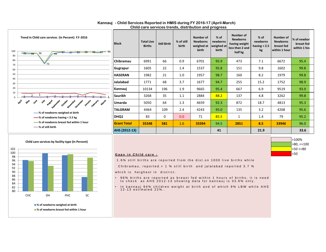| Trend in Child care services (in Percent) F.Y-2016<br>100<br>$-98$ $-97$ 99<br>$-97$ 97 98<br>$-97$<br>$-95 - 94 - 96$<br>90               | <b>Block</b>       | <b>Total Live</b><br><b>Births</b> | <b>Still Birth</b> | % of still<br>birth | <b>Number of</b><br><b>Newborns</b><br>weighed at<br>birth | $%$ of<br>newborns<br>weighed at<br>birth | Number of<br><b>Newborns</b><br>having weight<br>less than 2 and<br>half kg | $%$ of<br>newborns<br>having $< 2.5$<br>kg | Number of<br><b>Newborns</b><br>breast fed<br>within 1 hour | % of newbor<br>breast fed<br>within 1 hou |  |
|--------------------------------------------------------------------------------------------------------------------------------------------|--------------------|------------------------------------|--------------------|---------------------|------------------------------------------------------------|-------------------------------------------|-----------------------------------------------------------------------------|--------------------------------------------|-------------------------------------------------------------|-------------------------------------------|--|
| 80<br>$V_{73}$<br>70                                                                                                                       | <b>Chibramau</b>   | 6991                               | 66                 | 0.9                 | 6701                                                       | 95.9                                      | 473                                                                         | 7.1                                        | 6672                                                        | 95.4                                      |  |
| 60                                                                                                                                         | <b>Gugrapur</b>    | 1605                               | 22                 | 1.4                 | 1537                                                       | 95.8                                      | 151                                                                         | 9.8                                        | 1602                                                        | 99.8                                      |  |
| 50                                                                                                                                         | <b>HASERAN</b>     | 1982                               | 21                 | 1.0                 | 1957                                                       | 98.7                                      | 160                                                                         | 8.2                                        | 1979                                                        | 99.8                                      |  |
| 40<br>30                                                                                                                                   | Jalalabad          | 1771                               | 68                 | 3.7                 | 1677                                                       | 94.7                                      | 255                                                                         | 15.2                                       | 1752                                                        | 98.9                                      |  |
| 20                                                                                                                                         | Kannauj            | 10134                              | 196                | 1.9                 | 9665                                                       | 95.4                                      | 667                                                                         | 6.9                                        | 9519                                                        | 93.9                                      |  |
| 10                                                                                                                                         | <b>Saurikh</b>     | 3268                               | 35                 | 1.1                 | 2884                                                       | 88.2                                      | 137                                                                         | 4.8                                        | 3262                                                        | 99.8                                      |  |
| Apil<br>$v_{\mu\mu}$<br><b>Wre</b><br>January<br><b>May</b><br>August<br>September<br>November<br>December<br>February<br>March<br>October | Umarda             | 5050                               | 64                 | 1.3                 | 4659                                                       | 92.3                                      | 872                                                                         | 18.7                                       | 4813                                                        | 95.3                                      |  |
| -8 of newborns weighed at birth                                                                                                            | <b>TALGRAM</b>     | 4464                               | 109                | 2.4                 | 4243                                                       | 95.0                                      | 135                                                                         | 3.2                                        | 4268                                                        | 95.6                                      |  |
| -8 of newborns having < 2.5 kg                                                                                                             | DHQ1               | 83                                 | $\mathbf 0$        | 0.0                 | 71                                                         | 85.5                                      | 1                                                                           | 1.4                                        | 79                                                          | 95.2                                      |  |
| -% of newborns breast fed within 1 hour                                                                                                    | <b>Grant Total</b> | 35348                              | 581                | 1.6                 | 33394                                                      | 94.5                                      | 2851                                                                        | 8.5                                        | 33946                                                       | 96.0                                      |  |
| -8 of still birth                                                                                                                          | AHS (2012-13)      |                                    |                    |                     |                                                            | 41                                        |                                                                             | 21.9                                       |                                                             | 33.6                                      |  |

#### **Child care services trends, distribution and progress Kannauj - Child Services Reported in HMIS during FY 2016-17 (April-March)**



#### Gaps in Child care:

1.6% still births are reported from the dist.on 1000 live births while

Chibramau, reported. $< 1$  % still birth and jalalabad reported 3.7 %

which is heighest in district.

• 96% births are reported as breast fed within 1 hours of births, it is need<br>to check as AHS 2012-13 showing data for kannauj is 33.6% only.

>100% >80, <=100  $>50 < 80$ <50

• In kannauj 94% children weight at birth and of which 9% LBW while AHS<br>12-13 estimated 22%..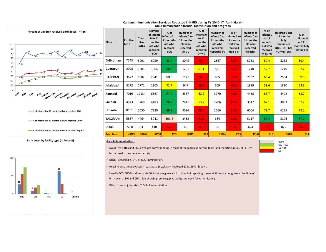| Percent of Children received Birth doses - F.Y-16<br>100<br>90<br>80                                                                                         | <b>Block</b>       | Est. live<br>birth | Total<br>Live<br><b>Births</b> | <b>Number</b><br>of Infants<br>0 to 11<br>months<br>old who<br>received<br><b>BCG</b> | $%$ of<br>Infants 0 to   Infants 0 to<br>11 months<br>old who<br>received<br><b>BCG</b> | Number of<br>11 months<br>old who<br>received<br>OPV <sub>0</sub> | % of<br>Infants <sub>0</sub><br>to 11<br>months<br>old who<br>received<br>OPV <sub>0</sub> | Number of<br>Infants 0 to<br>11 months<br>old who<br>received<br>Hepatitis-BO | % of<br>Infants 0 to<br>11 months<br>old who<br>received<br>Hep B 0 | Number of<br>Infants 0 to<br>11 months<br>old who<br>received<br><b>Measles</b> | % of<br>Infants <sub>0</sub><br>to 11<br>months<br>old who<br>received<br><b>Measles</b> | children 9 and<br>11 months<br>fully<br>immunized<br>(BCG+DPT123<br>+OPV1:Total | % of<br>children 9<br>and $11$<br>months fully<br>immunized |
|--------------------------------------------------------------------------------------------------------------------------------------------------------------|--------------------|--------------------|--------------------------------|---------------------------------------------------------------------------------------|-----------------------------------------------------------------------------------------|-------------------------------------------------------------------|--------------------------------------------------------------------------------------------|-------------------------------------------------------------------------------|---------------------------------------------------------------------|---------------------------------------------------------------------------------|------------------------------------------------------------------------------------------|---------------------------------------------------------------------------------|-------------------------------------------------------------|
| 70<br>60<br>56                                                                                                                                               | <b>Chibramau</b>   | 7543               | 6991                           | 6259                                                                                  | 83.0                                                                                    | 3045                                                              | 40.4                                                                                       | 2557                                                                          | 33.9                                                                | 5233                                                                            | 69.4                                                                                     | 5233                                                                            | 69.4                                                        |
| 50<br>40                                                                                                                                                     | Gugrapur           | 2098               | 1605                           | 1864                                                                                  | 88.8                                                                                    | 1281                                                              | 61.1                                                                                       | 831                                                                           | 39.6                                                                | 1210                                                                            | 57.7                                                                                     | 1210                                                                            | 57.7                                                        |
| 30<br>$\frac{1}{26}$<br>20                                                                                                                                   | <b>HASERAN</b>     | 3677               | 1982                           | 2941                                                                                  | 80.0                                                                                    | 1121                                                              | 30.5                                                                                       | 805                                                                           | 21.9                                                                | 2552                                                                            | 69.4                                                                                     | 2554                                                                            | 69.5                                                        |
| $-14$<br>10<br>$\Omega$                                                                                                                                      | <b>Jalalabad</b>   | 3172               | 1771                           | 2305                                                                                  | 72.7                                                                                    | 947                                                               | 29.9                                                                                       | 609                                                                           | 19.2                                                                | 1889                                                                            | 59.6                                                                                     | 1880                                                                            | 59.3                                                        |
| April<br>νw <sup>W</sup><br>October<br>er January February March<br>August<br>September<br><b>November</b><br><b>Kells</b><br><b><i>lune</i></b><br>December | Kannauj            | 7016               | 10134                          | 6867                                                                                  | 97.9                                                                                    | 4367                                                              | 62.2                                                                                       | 3270                                                                          | 46.6                                                                | 4468                                                                            | 63.7                                                                                     | 4402                                                                            | 62.7                                                        |
|                                                                                                                                                              | Saurikh            | 4543               | 3268                           | 4483                                                                                  | 98.7                                                                                    | 2441                                                              | 53.7                                                                                       | 2206                                                                          | 48.6                                                                | 3047                                                                            | 67.1                                                                                     | 3053                                                                            | 67.2                                                        |
| -8 % of Infants 0 to 11 months old who received BCG                                                                                                          | <b>IUmarda</b>     | 8151               | 5050                           | 7320                                                                                  | 89.8                                                                                    | 3096                                                              | 38.0                                                                                       | 2566                                                                          | 31.5                                                                | 6004                                                                            | 73.7                                                                                     | 6125                                                                            | 75.1                                                        |
| -% of Infants 0 to 11 months old who received OPV 0                                                                                                          | <b>TALGRAM</b>     | 5857               | 4464                           | 5941                                                                                  | 101.4                                                                                   | 2452                                                              | 41.9                                                                                       | 664                                                                           | 11.3                                                                | 5117                                                                            | 87.4                                                                                     | 5106                                                                            | 87.2                                                        |
| % of Infants 0 to 11 months old who received Hep B 0                                                                                                         | DHQ1               | 7208               | 83                             | 410                                                                                   | 5.7                                                                                     | 65                                                                | 0.9                                                                                        | 36                                                                            | 0.5                                                                 | 624                                                                             | 8.7                                                                                      | 879                                                                             | 12.2                                                        |
|                                                                                                                                                              | <b>Grant Total</b> | 49265              | 35348                          | 38390                                                                                 | 77.9                                                                                    | 18815                                                             | 38.2                                                                                       | 13544                                                                         | 27.5                                                                | 30144                                                                           | 61.2                                                                                     | 30442                                                                           | 61.8                                                        |

#### **Kannauj - Immunisation Services Reported in HMIS during FY 2016-17 (April-March) Child Immunization trends, Distribution and progress**



**% of Infants 0 to 11 months old who…**

#### **Gaps in Immunization :**

• No of Live births and BCG given not corresponding in most of the blocks as per the table and reporting aprox. or > live births need to be check accurately.

>100% >80, <=100  $>50 < 80$ <50

- DHQ1 reported 5.1 % of BCG imminization.
- Hep.B-0 dose , Block Haseran , Jalalabad & ,talgram reported 22 %, 19%, & 11% .
- Usually BCG, OPV0 and Hepatitis B0 doses are given at birth time but reporting shows all three are not given at the time of birth even at DH and CHCs, it is showing service gap at facility and need focus monitoring.
- District kannauj reported 62 % full immunization.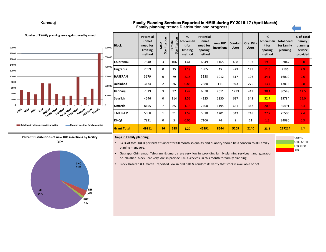### **Kannauj - Family Planning Services Reported in HMIS during FY 2016-17 (April-March)**

 **Family planning trends Distribution and progress**

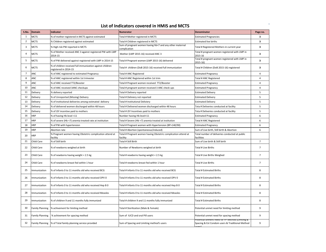| List of Indicators covered in HMIS and MCTS |  |  |
|---------------------------------------------|--|--|
|---------------------------------------------|--|--|

| S.No.          | <b>Domain</b>          | <b>Indicator</b>                                                                   | <b>Numerator</b>                                                           | <b>Denominator</b>                                                                                | Page no.       |
|----------------|------------------------|------------------------------------------------------------------------------------|----------------------------------------------------------------------------|---------------------------------------------------------------------------------------------------|----------------|
| 1              | <b>MCTS</b>            | % of mother registered in MCTS against estimated                                   | Total # Mother registered in MCTS                                          | <b>Estimated Pregnancies</b>                                                                      | 3              |
| $\overline{2}$ | <b>MCTS</b>            | % Children registered against estimated                                            | Total # Children registered in MCTS                                        | <b>Estimated live births</b>                                                                      | 3              |
| 3              | <b>MCTS</b>            | % High risk PW reported in MCTS                                                    | Sum of pregnant women having hb<7 and any other maternal<br>complication   | Total # Registered Mothers in current year                                                        | 3              |
| 4              | <b>MCTS</b>            | % of Mother received ANC 3 against registered PW with LMP<br>2014-15               | Mother (LMP 2015-16) received ANC 3                                        | Total # pregnant women registered with LMP in<br>2015-16                                          | 3              |
| 5              | <b>MCTS</b>            | % of PW delivered against registered with LMP in 2014-15                           | Total # Pregnant women (LMP 2015-16) delivered                             | Total # pregnant women registered with LMP in<br>2015-16)                                         | 3              |
| 6              | <b>MCTS</b>            | % of children received full immunization against children<br>registered in 2014-15 | Total # children (DoB 2015-16) received full immunization                  | Total # Children (DoB 2015-16) registered                                                         | 3              |
| $\overline{7}$ | ANC                    | % of ANC registered to estimated Pregnancy                                         | Total # ANC Registered                                                     | <b>Estimated Pregnancy</b>                                                                        | $\overline{4}$ |
| 8              | ANC                    | % of ANC registered within 1st trimester                                           | Total # ANC Registered within 1st trim                                     | Total # ANC Registered                                                                            | $\overline{4}$ |
| 9              | ANC                    | % of ANC received TT2/Booster                                                      | Total # Pregnant women received TT2/Booster                                | <b>Estimated Pregnancy</b>                                                                        | $\overline{4}$ |
| 10             | ANC                    | % of ANC received 3ANC checkups                                                    | Total # pregnant women received 3 ANC check ups                            | <b>Estimated Pregnancy</b>                                                                        | $\overline{4}$ |
| 11             | Delivery               | % delivery reported                                                                | Total # Delivery reported                                                  | <b>Estimated Delivery</b>                                                                         | 5              |
| 12             | Delivery               | % of Unreported (Missing) Delivery                                                 | Total # Deliviery not reported                                             | <b>Estimated Delivery</b>                                                                         | 5              |
| 13             | Delivery               | % of institutional deliveries among estimated delivery                             | Total # Institutional Deliviery                                            | Estimated Delivery                                                                                | 5              |
| 14             | Delivery               | % of delivered women discharged within 48 hours                                    | Total # Delivered women discharged within 48 hours                         | Tota # Deliveries conducted at facility                                                           | 5              |
| 15             | Delivery               | % of JSY incentive paid to mothers                                                 | Total # JSY Incentives paid to mothers                                     | Tota # Deliveries conducted at facility                                                           | 5              |
| 16             | <b>HRP</b>             | % of having Hb level <11                                                           | Number having Hb level<11                                                  | <b>Estimated Pregnancy</b>                                                                        | 6              |
| 17             | <b>HRP</b>             | % of severe (Hb <7) anemia treated rate at institution                             | Total # Severe (Hb <7) anemia treated at institution                       | Total # ANC Registered                                                                            | 6              |
| 18             | HRP                    | % of PW with hypertension                                                          | Total # Pregnant women with Hypertension (BP>140/90)                       | <b>Estimated Pregnancy</b>                                                                        | 6              |
| 19             | <b>HRP</b>             | Abortion rate                                                                      | Total # Abortion (spontaneous/induced)                                     | Sum of Live birth, Still birth & Abortion                                                         | 6              |
| 20             | HRP                    | % Pregnant women having Obstetric complication attend at<br>facility               | Total # Pregnant women having Obstetric complication attend at<br>facility | Total number of deliveries conducted at public<br>facilities                                      |                |
| 21             | Child Care             | % of Still birth                                                                   | Total # Still Birth                                                        | Sum of Live birth & Still birth                                                                   | $\overline{7}$ |
| 22             | Child Care             | % of newborns weighed at birth                                                     | Number of Newborns weighed at birth                                        | Total # Live Births                                                                               | $\overline{7}$ |
| 23             | Child Care             | % of newborns having weight < 2.5 kg                                               | Total # newborns having weight < 2.5 kg                                    | Total # Live Births Weighed                                                                       | $\overline{7}$ |
| 24             | Child Care             | % of newborns breast fed within 1 hour                                             | Total # newborns breast fed within 1 hour                                  | Total # Live Births                                                                               | $\overline{7}$ |
| 25             | Immunization           | % of Infants 0 to 11 months old who received BCG                                   | Total # Infants 0 to 11 months old who received BCG                        | Total # Estimated Births                                                                          | 8              |
| 26             | Immunization           | % of Infants 0 to 11 months old who received OPV 0                                 | Total # Infants 0 to 11 months old who received OPV 0                      | <b>Total # Estimated Births</b>                                                                   | 8              |
| 27             | Immunization           | % of Infants 0 to 11 months old who received Hep B 0                               | Total # Infants 0 to 11 months old who received Hep B 0                    | <b>Total # Estimated Births</b>                                                                   | 8              |
| 28             | Immunization           | % of Infants 0 to 11 months old who received Measles                               | Total # Infants 0 to 11 months old who received Measles                    | <b>Total # Estimated Births</b>                                                                   | 8              |
| 29             | Immunization           | % of children 9 and 11 months fully immunized                                      | Total # children 9 and 11 months fully immunized                           | Total # Estimated Births                                                                          | 8              |
| 30             | Family Planning        | % achivement for limiting method                                                   | Total # Sterilization (Male & Female)                                      | Potential unmet need for limiting method                                                          | 9              |
| 31             | <b>Family Planning</b> | % achivement for spacing method                                                    | Sum of IUCD and oral Pill users                                            | Potential unmet need for spacing method                                                           | 9              |
| 32             |                        | Family Planning % of Total family planning service provided                        | Sum of Spacing and Limiting method's users                                 | otential unment need for FP Method (Limiting &<br>Spacing & Est Condom users & Traditional Method | 9              |
|                |                        |                                                                                    |                                                                            |                                                                                                   |                |